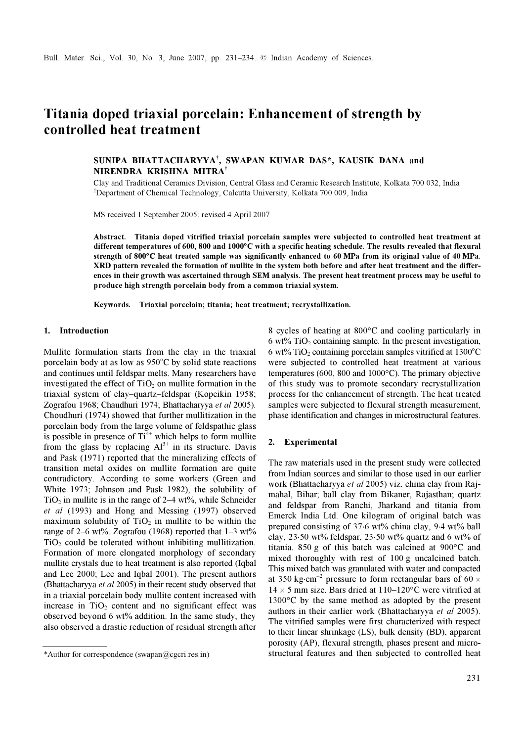# Titania doped triaxial porcelain: Enhancement of strength by controlled heat treatment

# SUNIPA BHATTACHARYYA† , SWAPAN KUMAR DAS\*, KAUSIK DANA and NIRENDRA KRISHNA MITRA†

Clay and Traditional Ceramics Division, Central Glass and Ceramic Research Institute, Kolkata 700 032, India † Department of Chemical Technology, Calcutta University, Kolkata 700 009, India

MS received 1 September 2005; revised 4 April 2007

Abstract. Titania doped vitrified triaxial porcelain samples were subjected to controlled heat treatment at different temperatures of 600, 800 and 1000°C with a specific heating schedule. The results revealed that flexural different temperatures of 600, 800 and 1000°C with a specific heating schedule. The results revealed that flexural strength of 800°C heat treated sample was significantly enhanced to 60 MPa from its original value of 40 MP XRD pattern revealed the formation of mullite in the system both before and after heat treatment and the differences in their growth was ascertained through SEM analysis. The present heat treatment process may be useful to produce high strength porcelain body from a common triaxial system.

Keywords. Triaxial porcelain; titania; heat treatment; recrystallization.

### 1. Introduction

Mullite formulation starts from the clay in the triaxial porcelain body at as low as  $950^{\circ}$ C by solid state reactions and continues until feldspar melts. Many researchers have investigated the effect of  $TiO<sub>2</sub>$  on mullite formation in the triaxial system of clay–quartz–feldspar (Kopeikin 1958; Zografou 1968; Chaudhuri 1974; Bhattacharyya et al 2005). Choudhuri (1974) showed that further mullitization in the porcelain body from the large volume of feldspathic glass is possible in presence of  $Ti<sup>4+</sup>$  which helps to form mullite from the glass by replacing  $Al^{3+}$  in its structure. Davis and Pask (1971) reported that the mineralizing effects of transition metal oxides on mullite formation are quite contradictory. According to some workers (Green and White 1973; Johnson and Pask 1982), the solubility of  $TiO<sub>2</sub>$  in mullite is in the range of 2–4 wt%, while Schneider et al (1993) and Hong and Messing (1997) observed maximum solubility of  $TiO<sub>2</sub>$  in mullite to be within the range of 2–6 wt%. Zografou (1968) reported that  $1-3$  wt%  $TiO<sub>2</sub>$  could be tolerated without inhibiting mullitization. Formation of more elongated morphology of secondary mullite crystals due to heat treatment is also reported (Iqbal and Lee 2000; Lee and Iqbal 2001). The present authors (Bhattacharyya et al 2005) in their recent study observed that in a triaxial porcelain body mullite content increased with increase in  $TiO<sub>2</sub>$  content and no significant effect was observed beyond 6 wt% addition. In the same study, they also observed a drastic reduction of residual strength after

8 cycles of heating at 800°C and cooling particularly in 6 wt%  $TiO<sub>2</sub>$  containing sample. In the present investigation, 6 wt% TiO<sub>2</sub> containing porcelain samples vitrified at  $1300^{\circ}$ C were subjected to controlled heat treatment at various temperatures (600, 800 and 1000°C). The primary objective of this study was to promote secondary recrystallization process for the enhancement of strength. The heat treated samples were subjected to flexural strength measurement, phase identification and changes in microstructural features.

#### 2. Experimental

The raw materials used in the present study were collected from Indian sources and similar to those used in our earlier work (Bhattacharyya et al 2005) viz. china clay from Rajmahal, Bihar; ball clay from Bikaner, Rajasthan; quartz and feldspar from Ranchi, Jharkand and titania from Emerck India Ltd. One kilogram of original batch was prepared consisting of 37⋅6 wt% china clay, 9⋅4 wt% ball clay, 23⋅50 wt% feldspar, 23⋅50 wt% quartz and 6 wt% of titania. 850 g of this batch was calcined at 900°C and mixed thoroughly with rest of 100 g uncalcined batch. This mixed batch was granulated with water and compacted at 350 kg⋅cm<sup>-2</sup> pressure to form rectangular bars of 60  $\times$  $14 \times 5$  mm size. Bars dried at  $110-120$ °C were vitrified at 1300°C by the same method as adopted by the present authors in their earlier work (Bhattacharyya et al 2005). The vitrified samples were first characterized with respect to their linear shrinkage (LS), bulk density (BD), apparent porosity (AP), flexural strength, phases present and micro- \*Author for correspondence (swapan@cgcri.res.in) structural features and then subjected to controlled heat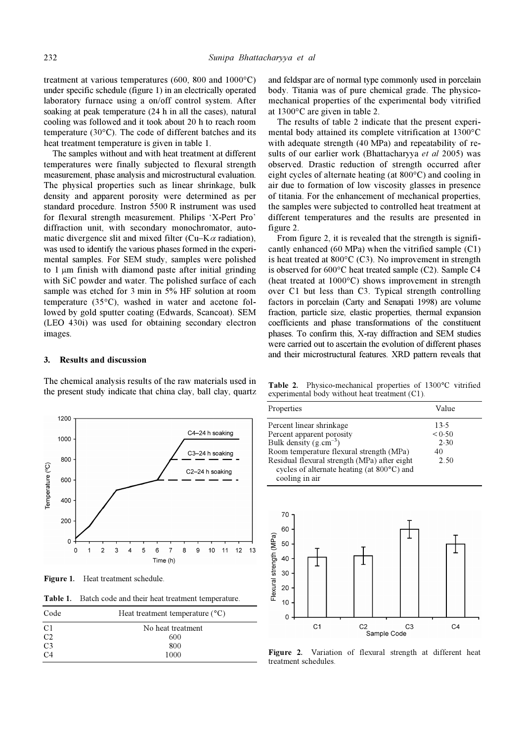treatment at various temperatures (600, 800 and 1000°C) under specific schedule (figure 1) in an electrically operated laboratory furnace using a on/off control system. After soaking at peak temperature (24 h in all the cases), natural cooling was followed and it took about 20 h to reach room temperature (30°C). The code of different batches and its heat treatment temperature is given in table 1.

 The samples without and with heat treatment at different temperatures were finally subjected to flexural strength measurement, phase analysis and microstructural evaluation. The physical properties such as linear shrinkage, bulk density and apparent porosity were determined as per standard procedure. Instron 5500 R instrument was used for flexural strength measurement. Philips 'X-Pert Pro' diffraction unit, with secondary monochromator, automatic divergence slit and mixed filter (Cu–K $\alpha$  radiation), was used to identify the various phases formed in the experimental samples. For SEM study, samples were polished to 1 μm finish with diamond paste after initial grinding with SiC powder and water. The polished surface of each sample was etched for 3 min in 5% HF solution at room temperature (35°C), washed in water and acetone followed by gold sputter coating (Edwards, Scancoat). SEM (LEO 430i) was used for obtaining secondary electron images.

#### 3. Results and discussion

The chemical analysis results of the raw materials used in the present study indicate that china clay, ball clay, quartz



Figure 1. Heat treatment schedule.

Table 1. Batch code and their heat treatment temperature.

| Code           | Heat treatment temperature $(^{\circ}C)$ |
|----------------|------------------------------------------|
| C <sub>1</sub> | No heat treatment                        |
| C <sub>2</sub> | 600                                      |
| C <sub>3</sub> | 800                                      |
| C <sub>4</sub> | 1000                                     |

and feldspar are of normal type commonly used in porcelain body. Titania was of pure chemical grade. The physicomechanical properties of the experimental body vitrified at 1300°C are given in table 2.

 The results of table 2 indicate that the present experimental body attained its complete vitrification at 1300°C with adequate strength (40 MPa) and repeatability of results of our earlier work (Bhattachary et al 2005) was observed. Drastic reduction of strength occurred after eight cycles of alternate heating (at 800°C) and cooling in air due to formation of low viscosity glasses in presence of titania. For the enhancement of mechanical properties, the samples were subjected to controlled heat treatment at different temperatures and the results are presented in figure 2.

 From figure 2, it is revealed that the strength is significantly enhanced (60 MPa) when the vitrified sample (C1) is heat treated at 800°C (C3). No improvement in strength is observed for 600°C heat treated sample (C2). Sample C4 (heat treated at 1000°C) shows improvement in strength over C1 but less than C3. Typical strength controlling factors in porcelain (Carty and Senapati 1998) are volume fraction, particle size, elastic properties, thermal expansion coefficients and phase transformations of the constituent phases. To confirm this, X-ray diffraction and SEM studies were carried out to ascertain the evolution of different phases and their microstructural features. XRD pattern reveals that

Table 2. Physico-mechanical properties of 1300°C vitrified experimental body without heat treatment (C1).

| Properties                                              | Value  |
|---------------------------------------------------------|--------|
| Percent linear shrinkage                                | 13.5   |
|                                                         | < 0.50 |
| Percent apparent porosity<br>Bulk density $(g.cm^{-3})$ | 2.30   |
| Room temperature flexural strength (MPa)                | 40     |
| Residual flexural strength (MPa) after eight            | 2.50   |
| cycles of alternate heating (at 800°C) and              |        |
| cooling in air                                          |        |



Figure 2. Variation of flexural strength at different heat treatment schedules.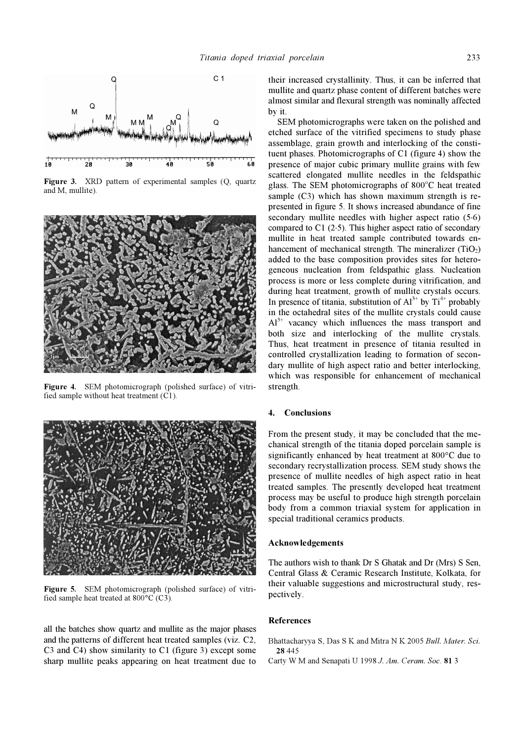

Figure 3. XRD pattern of experimental samples (Q, quartz and M, mullite).



Figure 4. SEM photomicrograph (polished surface) of vitrified sample without heat treatment (C1).



Figure 5. SEM photomicrograph (polished surface) of vitrified sample heat treated at 800°C (C3).

all the batches show quartz and mullite as the major phases and the patterns of different heat treated samples (viz. C2, C3 and C4) show similarity to C1 (figure 3) except some sharp mullite peaks appearing on heat treatment due to their increased crystallinity. Thus, it can be inferred that mullite and quartz phase content of different batches were almost similar and flexural strength was nominally affected by it.

 SEM photomicrographs were taken on the polished and etched surface of the vitrified specimens to study phase assemblage, grain growth and interlocking of the constituent phases. Photomicrographs of C1 (figure 4) show the presence of major cubic primary mullite grains with few scattered elongated mullite needles in the feldspathic glass. The SEM photomicrographs of 800°C heat treated sample (C3) which has shown maximum strength is represented in figure 5. It shows increased abundance of fine secondary mullite needles with higher aspect ratio (5⋅6) compared to C1 (2⋅5). This higher aspect ratio of secondary mullite in heat treated sample contributed towards enhancement of mechanical strength. The mineralizer  $(TiO<sub>2</sub>)$ added to the base composition provides sites for heterogeneous nucleation from feldspathic glass. Nucleation process is more or less complete during vitrification, and during heat treatment, growth of mullite crystals occurs. In presence of titania, substitution of  $Al^{3+}$  by  $Ti^{4+}$  probably in the octahedral sites of the mullite crystals could cause  $Al^{3+}$  vacancy which influences the mass transport and both size and interlocking of the mullite crystals. Thus, heat treatment in presence of titania resulted in controlled crystallization leading to formation of secondary mullite of high aspect ratio and better interlocking, which was responsible for enhancement of mechanical strength.

#### 4. Conclusions

From the present study, it may be concluded that the mechanical strength of the titania doped porcelain sample is significantly enhanced by heat treatment at 800°C due to secondary recrystallization process. SEM study shows the presence of mullite needles of high aspect ratio in heat treated samples. The presently developed heat treatment process may be useful to produce high strength porcelain body from a common triaxial system for application in special traditional ceramics products.

#### Acknowledgements

The authors wish to thank Dr S Ghatak and Dr (Mrs) S Sen, Central Glass & Ceramic Research Institute, Kolkata, for their valuable suggestions and microstructural study, respectively.

## **References**

Bhattacharyya S, Das S K and Mitra N K 2005 Bull. Mater. Sci. 28 445

Carty W M and Senapati U 1998 J. Am. Ceram. Soc. 81 3